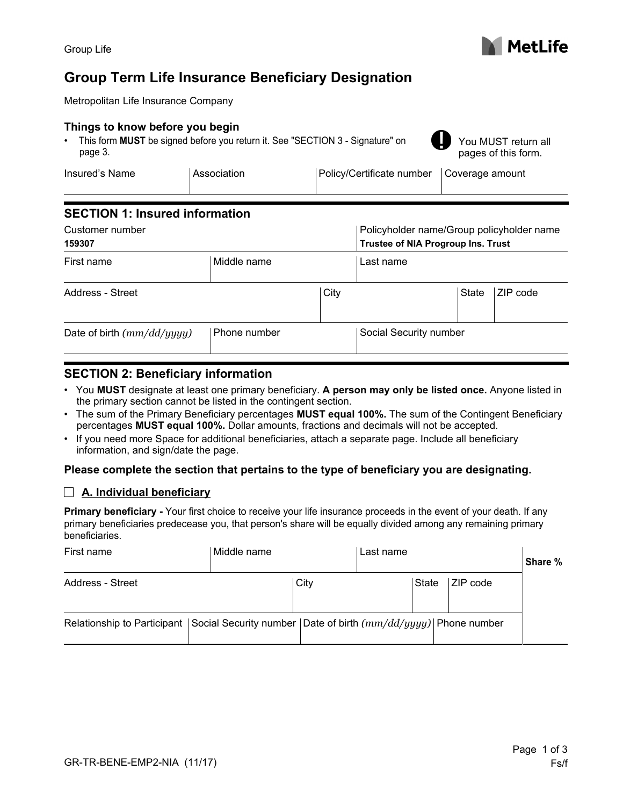# **Group Term Life Insurance Beneficiary Designation**

Metropolitan Life Insurance Company

#### **Things to know before you begin**

• This form **MUST** be signed before you return it. See "SECTION 3 - Signature" on page 3.

You MUST return all pages of this form.

| Insured's Name | Association | Policy/Certificate number   Coverage amount |  |
|----------------|-------------|---------------------------------------------|--|
|                |             |                                             |  |

## **SECTION 1: Insured information**

| Customer number<br>159307    |              |      | Policyholder name/Group policyholder name<br>Trustee of NIA Progroup Ins. Trust |                                               |  |
|------------------------------|--------------|------|---------------------------------------------------------------------------------|-----------------------------------------------|--|
| Middle name<br>First name    |              |      | Last name                                                                       |                                               |  |
| Address - Street             |              | City |                                                                                 | ZIP code<br>State<br>$\overline{\phantom{a}}$ |  |
| Date of birth $(mm/dd/yyyy)$ | Phone number |      | Social Security number                                                          |                                               |  |

# **SECTION 2: Beneficiary information**

- You **MUST** designate at least one primary beneficiary. **A person may only be listed once.** Anyone listed in the primary section cannot be listed in the contingent section.
- The sum of the Primary Beneficiary percentages **MUST equal 100%.** The sum of the Contingent Beneficiary percentages **MUST equal 100%.** Dollar amounts, fractions and decimals will not be accepted.
- If you need more Space for additional beneficiaries, attach a separate page. Include all beneficiary information, and sign/date the page.

#### **Please complete the section that pertains to the type of beneficiary you are designating.**

### **A. Individual beneficiary**

**Primary beneficiary -** Your first choice to receive your life insurance proceeds in the event of your death. If any primary beneficiaries predecease you, that person's share will be equally divided among any remaining primary beneficiaries.

| First name       | Middle name                                                                                  |      | Last name |          | Share % |
|------------------|----------------------------------------------------------------------------------------------|------|-----------|----------|---------|
| Address - Street |                                                                                              | City | State     | ZIP code |         |
|                  | Relationship to Participant Social Security number Date of birth $(mm/dd/yyyy)$ Phone number |      |           |          |         |



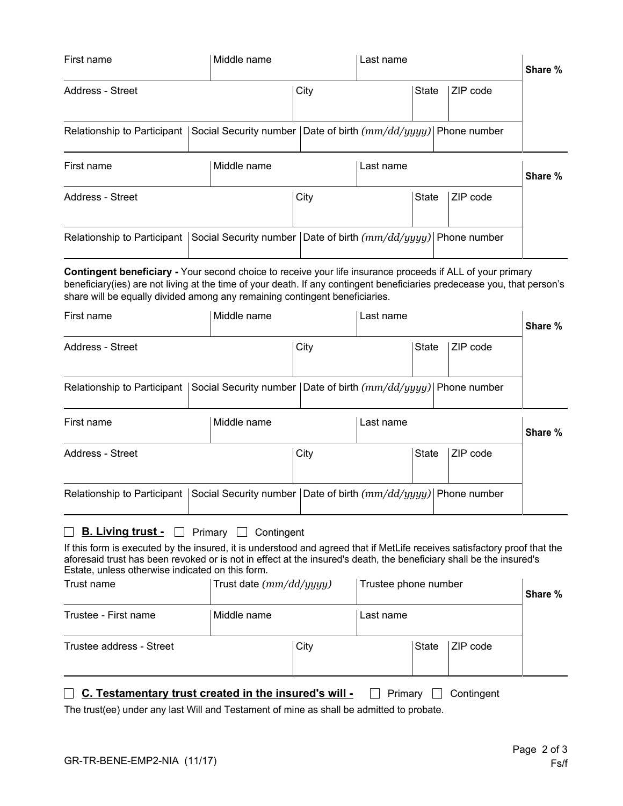| First name                                                                                                                                                                                                                                                                                                                                                                                                                              |             | Middle name                                                          | Last name |           |              |            | Share % |
|-----------------------------------------------------------------------------------------------------------------------------------------------------------------------------------------------------------------------------------------------------------------------------------------------------------------------------------------------------------------------------------------------------------------------------------------|-------------|----------------------------------------------------------------------|-----------|-----------|--------------|------------|---------|
| <b>Address - Street</b>                                                                                                                                                                                                                                                                                                                                                                                                                 |             |                                                                      | City      |           | State        | ZIP code   |         |
| Relationship to Participant                                                                                                                                                                                                                                                                                                                                                                                                             |             | Social Security number   Date of birth $(mm/dd/yyyy)$   Phone number |           |           |              |            |         |
| First name                                                                                                                                                                                                                                                                                                                                                                                                                              | Middle name |                                                                      | Last name |           |              |            | Share % |
| <b>Address - Street</b>                                                                                                                                                                                                                                                                                                                                                                                                                 |             |                                                                      | City      |           | <b>State</b> | ZIP code   |         |
| Relationship to Participant                                                                                                                                                                                                                                                                                                                                                                                                             |             | Social Security number Date of birth $(mm/dd/yyyy)$ Phone number     |           |           |              |            |         |
| Contingent beneficiary - Your second choice to receive your life insurance proceeds if ALL of your primary<br>beneficiary(ies) are not living at the time of your death. If any contingent beneficiaries predecease you, that person's<br>share will be equally divided among any remaining contingent beneficiaries.                                                                                                                   |             |                                                                      |           |           |              |            |         |
| First name                                                                                                                                                                                                                                                                                                                                                                                                                              |             | Middle name                                                          |           | Last name |              |            | Share % |
| <b>Address - Street</b>                                                                                                                                                                                                                                                                                                                                                                                                                 |             | City                                                                 |           | State     | ZIP code     |            |         |
| Relationship to Participant                                                                                                                                                                                                                                                                                                                                                                                                             |             | Social Security number   Date of birth $(mm/dd/yyyy)$   Phone number |           |           |              |            |         |
| First name                                                                                                                                                                                                                                                                                                                                                                                                                              |             | Middle name                                                          |           | Last name |              |            | Share % |
| <b>Address - Street</b>                                                                                                                                                                                                                                                                                                                                                                                                                 |             |                                                                      | City      |           | <b>State</b> | ZIP code   |         |
| Relationship to Participant                                                                                                                                                                                                                                                                                                                                                                                                             |             | Social Security number   Date of birth $(mm/dd/yyyy)$   Phone number |           |           |              |            |         |
| <b>B. Living trust -</b><br>$\Box$ Primary $\Box$ Contingent<br>If this form is executed by the insured, it is understood and agreed that if MetLife receives satisfactory proof that the<br>aforesaid trust has been revoked or is not in effect at the insured's death, the beneficiary shall be the insured's<br>Estate, unless otherwise indicated on this form.<br>Trust name<br>Trust date $(mm/dd/yyyy)$<br>Trustee phone number |             |                                                                      |           |           | Share %      |            |         |
| Trustee - First name                                                                                                                                                                                                                                                                                                                                                                                                                    |             | Middle name                                                          | Last name |           |              |            |         |
| Trustee address - Street                                                                                                                                                                                                                                                                                                                                                                                                                |             |                                                                      | City      |           | State        | ZIP code   |         |
| C. Testamentary trust created in the insured's will -<br>The trust(ee) under any last Will and Testament of mine as shall be admitted to probate.                                                                                                                                                                                                                                                                                       |             |                                                                      |           | Primary   |              | Contingent |         |